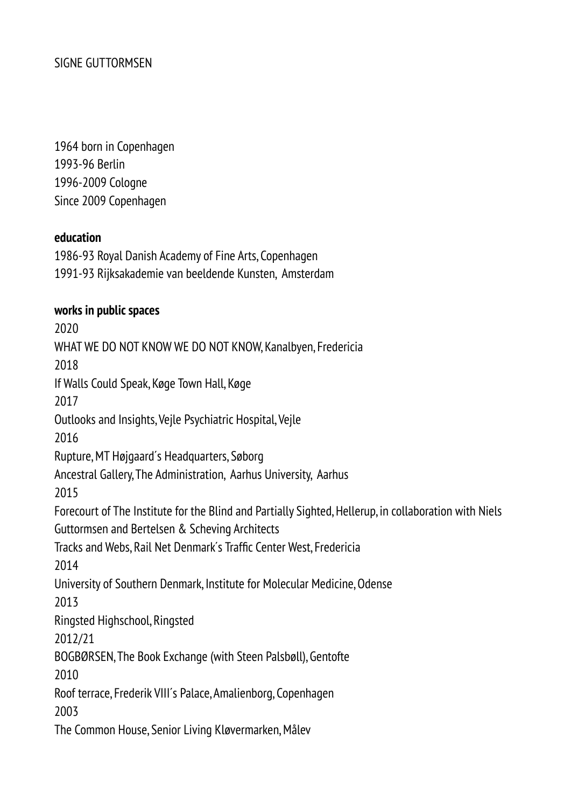1964 born in Copenhagen 1993-96 Berlin 1996-2009 Cologne Since 2009 Copenhagen

### **education**

1986-93 Royal Danish Academy of Fine Arts, Copenhagen 1991-93 Rijksakademie van beeldende Kunsten, Amsterdam

### **works in public spaces**

2020 WHAT WE DO NOT KNOW WE DO NOT KNOW, Kanalbyen, Fredericia 2018 If Walls Could Speak, Køge Town Hall, Køge 2017 Outlooks and Insights, Vejle Psychiatric Hospital, Vejle 2016 Rupture, MT Højgaard's Headquarters, Søborg Ancestral Gallery, The Administration, Aarhus University, Aarhus 2015 Forecourt of The Institute for the Blind and Partially Sighted, Hellerup, in collaboration with Niels Guttormsen and Bertelsen & Scheving Architects Tracks and Webs, Rail Net Denmark's Traffic Center West, Fredericia 2014 University of Southern Denmark, Institute for Molecular Medicine, Odense 2013 Ringsted Highschool, Ringsted 2012/21 BOGBØRSEN, The Book Exchange (with Steen Palsbøll), Gentofte 2010 Roof terrace, Frederik VIII's Palace, Amalienborg, Copenhagen 2003 The Common House, Senior Living Kløvermarken, Målev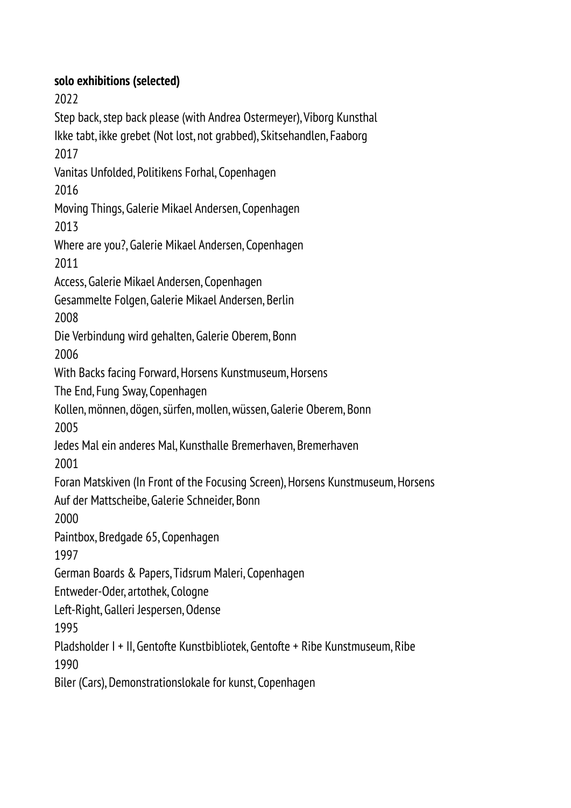# **solo exhibitions (selected)**

2022 Step back, step back please (with Andrea Ostermeyer), Viborg Kunsthal Ikke tabt, ikke grebet (Not lost, not grabbed), Skitsehandlen, Faaborg 2017 Vanitas Unfolded, Politikens Forhal, Copenhagen 2016 Moving Things, Galerie Mikael Andersen, Copenhagen 2013 Where are you?, Galerie Mikael Andersen, Copenhagen 2011 Access, Galerie Mikael Andersen, Copenhagen Gesammelte Folgen, Galerie Mikael Andersen, Berlin 2008 Die Verbindung wird gehalten, Galerie Oberem, Bonn 2006 With Backs facing Forward, Horsens Kunstmuseum, Horsens The End, Fung Sway, Copenhagen Kollen, mönnen, dögen, sürfen, mollen, wüssen, Galerie Oberem, Bonn 2005 Jedes Mal ein anderes Mal, Kunsthalle Bremerhaven, Bremerhaven 2001 Foran Matskiven (In Front of the Focusing Screen), Horsens Kunstmuseum, Horsens Auf der Mattscheibe, Galerie Schneider, Bonn 2000 Paintbox, Bredgade 65, Copenhagen 1997 German Boards & Papers, Tidsrum Maleri, Copenhagen Entweder-Oder, artothek, Cologne Left-Right, Galleri Jespersen, Odense 1995 Pladsholder I + II, Gentofte Kunstbibliotek, Gentofte + Ribe Kunstmuseum, Ribe 1990 Biler (Cars), Demonstrationslokale for kunst, Copenhagen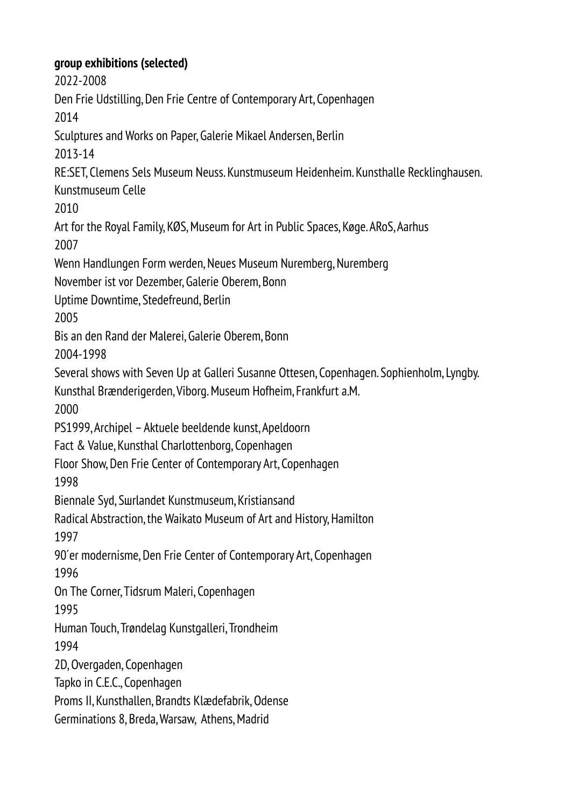**group exhibitions (selected)** 2022-2008 Den Frie Udstilling, Den Frie Centre of Contemporary Art, Copenhagen 2014 Sculptures and Works on Paper, Galerie Mikael Andersen, Berlin 2013-14 RE:SET, Clemens Sels Museum Neuss. Kunstmuseum Heidenheim. Kunsthalle Recklinghausen. Kunstmuseum Celle 2010 Art for the Royal Family, KØS, Museum for Art in Public Spaces, Køge. ARoS, Aarhus 2007 Wenn Handlungen Form werden, Neues Museum Nuremberg, Nuremberg November ist vor Dezember, Galerie Oberem, Bonn Uptime Downtime, Stedefreund, Berlin 2005 Bis an den Rand der Malerei, Galerie Oberem, Bonn 2004-1998 Several shows with Seven Up at Galleri Susanne Ottesen, Copenhagen. Sophienholm, Lyngby. Kunsthal Brænderigеrden, Viborg. Museum Hofheim, Frankfurt a.M. 2000 PS1999, Archipel – Aktuele beeldende kunst, Apeldoorn Fact & Value, Kunsthal Charlottenborg, Copenhagen Floor Show, Den Frie Center of Contemporary Art, Copenhagen 1998 Biennale Syd, Sшrlandet Kunstmuseum, Kristiansand Radical Abstraction, the Waikato Museum of Art and History, Hamilton 1997 90'er modernisme, Den Frie Center of Contemporary Art, Copenhagen 1996 On The Corner, Tidsrum Maleri, Copenhagen 1995 Human Touch, Trøndelag Kunstgalleri, Trondheim 1994 2D, Overgaden, Copenhagen Tapko in C.E.C., Copenhagen Proms II, Kunsthallen, Brandts Klædefabrik, Odense Germinations 8, Breda, Warsaw, Athens, Madrid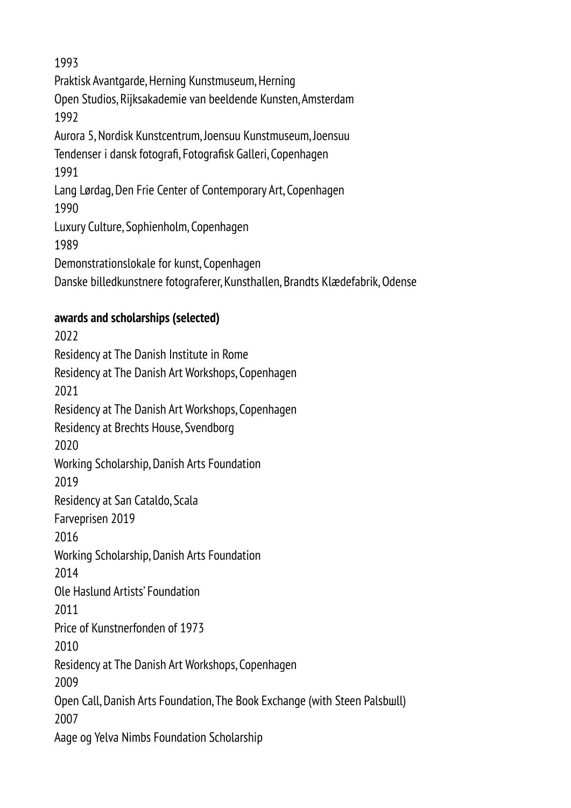1993 Praktisk Avantgarde, Herning Kunstmuseum, Herning Open Studios, Rijksakademie van beeldende Kunsten, Amsterdam 1992 Aurora 5, Nordisk Kunstcentrum, Joensuu Kunstmuseum, Joensuu Tendenser i dansk fotografi, Fotografisk Galleri, Copenhagen 1991 Lang Lørdag, Den Frie Center of Contemporary Art, Copenhagen 1990 Luxury Culture, Sophienholm, Copenhagen 1989 Demonstrationslokale for kunst, Copenhagen Danske billedkunstnere fotograferer, Kunsthallen, Brandts Klædefabrik, Odense

## **awards and scholarships (selected)**

2022 Residency at The Danish Institute in Rome Residency at The Danish Art Workshops, Copenhagen 2021 Residency at The Danish Art Workshops, Copenhagen Residency at Brechts House, Svendborg 2020 Working Scholarship, Danish Arts Foundation 2019 Residency at San Cataldo, Scala Farveprisen 2019 2016 Working Scholarship, Danish Arts Foundation 2014 Ole Haslund Artists' Foundation 2011 Price of Kunstnerfonden of 1973 2010 Residency at The Danish Art Workshops, Copenhagen 2009 Open Call, Danish Arts Foundation, The Book Exchange (with Steen Palsbшll) 2007 Aage og Yelva Nimbs Foundation Scholarship